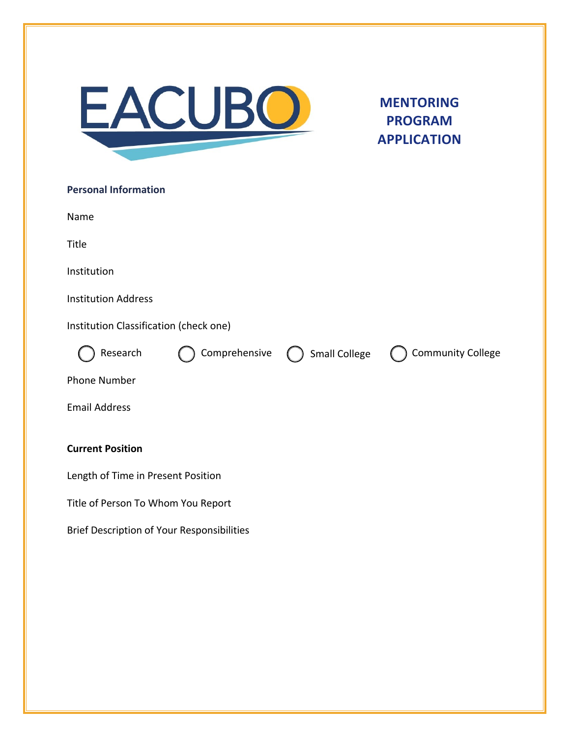

## **MENTORING PROGRAM APPLICATION**

| <b>Personal Information</b>                       |  |                                 |                          |
|---------------------------------------------------|--|---------------------------------|--------------------------|
| Name                                              |  |                                 |                          |
| Title                                             |  |                                 |                          |
| Institution                                       |  |                                 |                          |
| <b>Institution Address</b>                        |  |                                 |                          |
| Institution Classification (check one)            |  |                                 |                          |
| Research                                          |  | Comprehensive (C) Small College | <b>Community College</b> |
| <b>Phone Number</b>                               |  |                                 |                          |
| <b>Email Address</b>                              |  |                                 |                          |
| <b>Current Position</b>                           |  |                                 |                          |
| Length of Time in Present Position                |  |                                 |                          |
| Title of Person To Whom You Report                |  |                                 |                          |
| <b>Brief Description of Your Responsibilities</b> |  |                                 |                          |